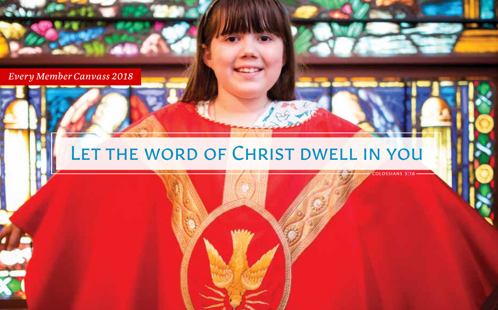*Every Member Canvass 2018*

# LET THE WORD OF CHRIST DWELL IN YOU

colossians 3:16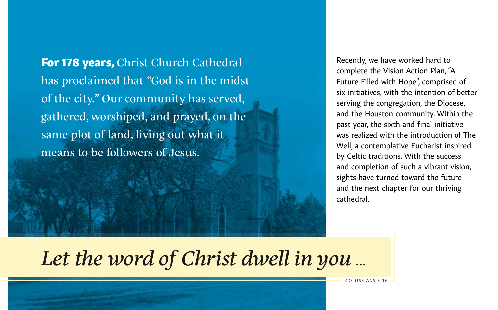For 178 years, Christ Church Cathedral has proclaimed that "God is in the midst of the city." Our community has served, gathered, worshiped, and prayed, on the same plot of land, living out what it means to be followers of Jesus.

Recently, we have worked hard to complete the Vision Action Plan, "A Future Filled with Hope", comprised of six initiatives, with the intention of better serving the congregation, the Diocese, and the Houston community. Within the past year, the sixth and final initiative was realized with the introduction of The Well, a contemplative Eucharist inspired by Celtic traditions. With the success and completion of such a vibrant vision, sights have turned toward the future and the next chapter for our thriving cathedral.

*Let the word of Christ dwell in you …*

colossians 3:16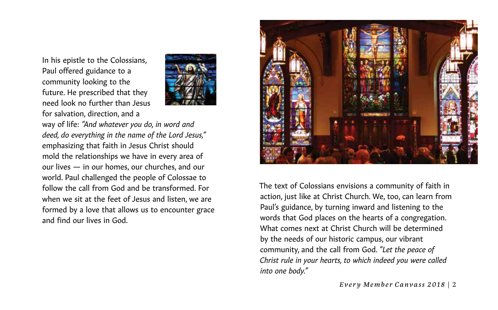In his epistle to the Colossians, Paul offered guidance to a community looking to the future. He prescribed that they need look no further than Jesus for salvation, direction, and a



way of life: *"And whatever you do, in word and deed, do everything in the name of the Lord Jesus,"*  emphasizing that faith in Jesus Christ should mold the relationships we have in every area of our lives — in our homes, our churches, and our world. Paul challenged the people of Colossae to follow the call from God and be transformed. For when we sit at the feet of Jesus and listen, we are formed by a love that allows us to encounter grace and find our lives in God.



The text of Colossians envisions a community of faith in action, just like at Christ Church. We, too, can learn from Paul's guidance, by turning inward and listening to the words that God places on the hearts of a congregation. What comes next at Christ Church will be determined by the needs of our historic campus, our vibrant community, and the call from God. *"Let the peace of Christ rule in your hearts, to which indeed you were called into one body."*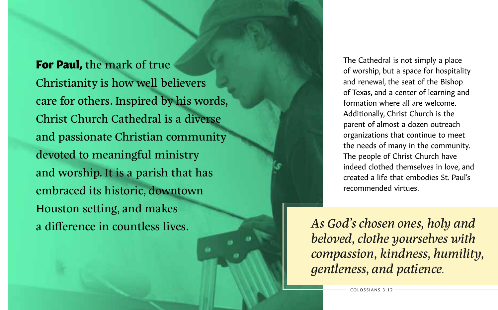**For Paul,** the mark of true Christianity is how well believers care for others. Inspired by his words, Christ Church Cathedral is a diverse and passionate Christian community devoted to meaningful ministry and worship. It is a parish that has embraced its historic, downtown Houston setting, and makes a difference in countless lives.

The Cathedral is not simply a place of worship, but a space for hospitality and renewal, the seat of the Bishop of Texas, and a center of learning and formation where all are welcome. Additionally, Christ Church is the parent of almost a dozen outreach organizations that continue to meet the needs of many in the community. The people of Christ Church have indeed clothed themselves in love, and created a life that embodies St. Paul's recommended virtues.

*As God's chosen ones, holy and beloved, clothe yourselves with compassion, kindness, humility, gentleness, and patience.*

colossians 3:12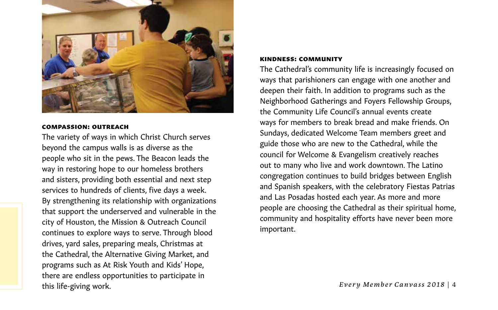

#### compassion: outreach

The variety of ways in which Christ Church serves beyond the campus walls is as diverse as the people who sit in the pews. The Beacon leads the way in restoring hope to our homeless brothers and sisters, providing both essential and next step services to hundreds of clients, five days a week. By strengthening its relationship with organizations that support the underserved and vulnerable in the city of Houston, the Mission & Outreach Council continues to explore ways to serve. Through blood drives, yard sales, preparing meals, Christmas at the Cathedral, the Alternative Giving Market, and programs such as At Risk Youth and Kids' Hope, there are endless opportunities to participate in this life-giving work.

#### kindness: community

The Cathedral's community life is increasingly focused on ways that parishioners can engage with one another and deepen their faith. In addition to programs such as the Neighborhood Gatherings and Foyers Fellowship Groups, the Community Life Council's annual events create ways for members to break bread and make friends. On Sundays, dedicated Welcome Team members greet and guide those who are new to the Cathedral, while the council for Welcome & Evangelism creatively reaches out to many who live and work downtown. The Latino congregation continues to build bridges between English and Spanish speakers, with the celebratory Fiestas Patrias and Las Posadas hosted each year. As more and more people are choosing the Cathedral as their spiritual home, community and hospitality efforts have never been more important.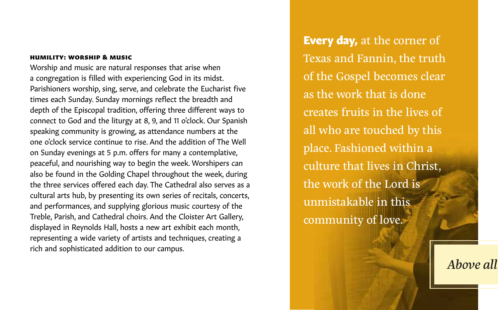### humility: worship & music

Worship and music are natural responses that arise when a congregation is filled with experiencing God in its midst. Parishioners worship, sing, serve, and celebrate the Eucharist five times each Sunday. Sunday mornings reflect the breadth and depth of the Episcopal tradition, offering three different ways to connect to God and the liturgy at 8, 9, and 11 o'clock. Our Spanish speaking community is growing, as attendance numbers at the one o'clock service continue to rise. And the addition of The Well on Sunday evenings at 5 p.m. offers for many a contemplative, peaceful, and nourishing way to begin the week. Worshipers can also be found in the Golding Chapel throughout the week, during the three services offered each day. The Cathedral also serves as a cultural arts hub, by presenting its own series of recitals, concerts, and performances, and supplying glorious music courtesy of the Treble, Parish, and Cathedral choirs. And the Cloister Art Gallery, displayed in Reynolds Hall, hosts a new art exhibit each month, representing a wide variety of artists and techniques, creating a rich and sophisticated addition to our campus.

**Every day,** at the corner of Texas and Fannin, the truth of the Gospel becomes clear as the work that is done creates fruits in the lives of all who are touched by this place. Fashioned within a culture that lives in Christ, the work of the Lord is unmistakable in this community of love.

*Above all, clothe yourselves with love, which binds everything together in perfect harmony.*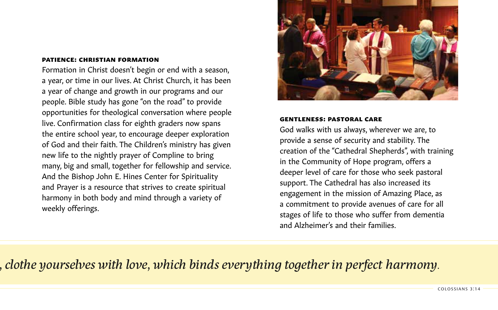### patience: christian formation

Formation in Christ doesn't begin or end with a season, a year, or time in our lives. At Christ Church, it has been a year of change and growth in our programs and our people. Bible study has gone "on the road" to provide opportunities for theological conversation where people live. Confirmation class for eighth graders now spans the entire school year, to encourage deeper exploration of God and their faith. The Children's ministry has given new life to the nightly prayer of Compline to bring many, big and small, together for fellowship and service. And the Bishop John E. Hines Center for Spirituality and Prayer is a resource that strives to create spiritual harmony in both body and mind through a variety of weekly offerings.



#### gentleness: pastoral care

God walks with us always, wherever we are, to provide a sense of security and stability. The creation of the "Cathedral Shepherds", with training in the Community of Hope program, offers a deeper level of care for those who seek pastoral support. The Cathedral has also increased its engagement in the mission of Amazing Place, as a commitment to provide avenues of care for all stages of life to those who suffer from dementia and Alzheimer's and their families.

# *Above all, clothe yourselves with love, which binds everything together in perfect harmony.*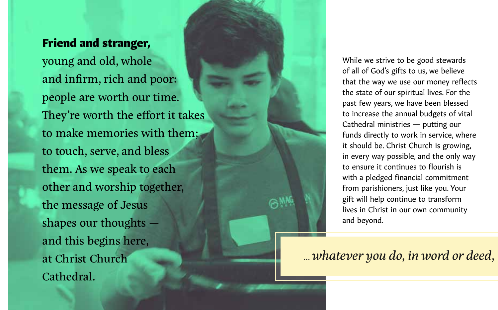### Friend and stranger,

young and old, whole and infirm, rich and poor: people are worth our time. They're worth the effort it takes to make memories with them; to touch, serve, and bless them. As we speak to each other and worship together, the message of Jesus shapes our thoughts and this begins here, at Christ Church Cathedral.

While we strive to be good stewards of all of God's gifts to us, we believe that the way we use our money reflects the state of our spiritual lives. For the past few years, we have been blessed to increase the annual budgets of vital Cathedral ministries — putting our funds directly to work in service, where it should be. Christ Church is growing, in every way possible, and the only way to ensure it continues to flourish is with a pledged financial commitment from parishioners, just like you. Your gift will help continue to transform lives in Christ in our own community and beyond.

# *… whatever you do, in word or deed, do everything in the name of the Lord…*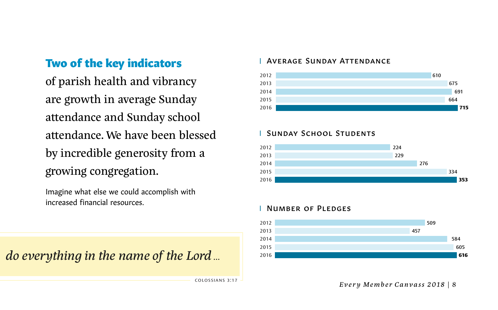# Two of the key indicators

of parish health and vibrancy are growth in average Sunday attendance and Sunday school attendance. We have been blessed by incredible generosity from a growing congregation.

Imagine what else we could accomplish with increased financial resources.

*do everything in the name of the Lord* ...

colossians 3:17

### Average Sunday Attendance



### Sunday School Students

#### 

### Number of Pledges



*Every Member Canvass 2018* | 8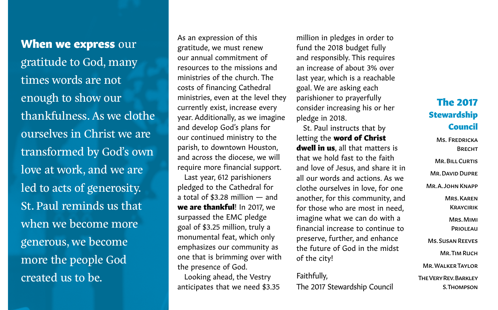When we express our gratitude to God, many times words are not enough to show our thankfulness. As we clothe ourselves in Christ we are transformed by God's own love at work, and we are led to acts of generosity. St. Paul reminds us that when we become more generous, we become more the people God created us to be.

As an expression of this gratitude, we must renew our annual commitment of resources to the missions and ministries of the church. The costs of financing Cathedral ministries, even at the level they currently exist, increase every year. Additionally, as we imagine and develop God's plans for our continued ministry to the parish, to downtown Houston, and across the diocese, we will require more financial support.

Last year, 612 parishioners pledged to the Cathedral for a total of \$3.28 million — and we are thankful! In 2017, we surpassed the EMC pledge goal of \$3.25 million, truly a monumental feat, which only emphasizes our community as one that is brimming over with the presence of God.

Looking ahead, the Vestry anticipates that we need \$3.35 million in pledges in order to fund the 2018 budget fully and responsibly. This requires an increase of about 3% over last year, which is a reachable goal. We are asking each parishioner to prayerfully consider increasing his or her pledge in 2018.

St. Paul instructs that by letting the word of Christ dwell in us, all that matters is that we hold fast to the faith and love of Jesus, and share it in all our words and actions. As we clothe ourselves in love, for one another, for this community, and for those who are most in need, imagine what we can do with a financial increase to continue to preserve, further, and enhance the future of God in the midst of the city!

Faithfully, The 2017 Stewardship Council

## The 2017 Stewardship Council

Ms. Fredricka **BRFCHT** Mr. Bill Curtis Mr. David Dupre Mr. A. John Knapp Mrs. Karen **KRAYCIRIK** Mrs. Mimi **PRIOLEAU** Ms. Susan Reeves Mr. Tim Ruch Mr. Walker Taylor The Very Rev. Barkley S. Thompson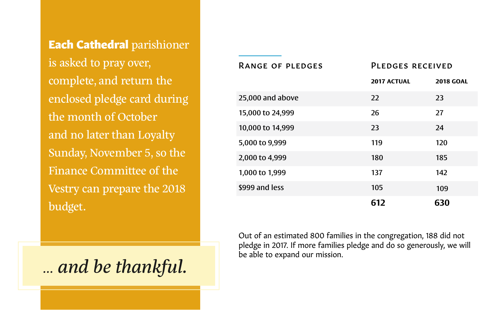Each Cathedral parishioner is asked to pray over, complete, and return the enclosed pledge card during the month of October and no later than Loyalty Sunday, November 5, so the Finance Committee of the Vestry can prepare the 2018 budget.

*… and be thankful.*

*Every Member Canvass 2018* | 10

| <b>RANGE OF PLEDGES</b> | PLEDGES RECEIVED   |                  |
|-------------------------|--------------------|------------------|
|                         | <b>2017 ACTUAL</b> | <b>2018 GOAL</b> |
| 25,000 and above        | 22                 | 23               |
| 15,000 to 24,999        | 26                 | 27               |
| 10,000 to 14,999        | 23                 | 24               |
| 5,000 to 9,999          | 119                | 120              |
| 2,000 to 4,999          | 180                | 185              |
| 1,000 to 1,999          | 137                | 142              |
| \$999 and less          | 105                | 109              |
|                         | 612                | 630              |

Out of an estimated 800 families in the congregation, 188 did not pledge in 2017. If more families pledge and do so generously, we will be able to expand our mission.